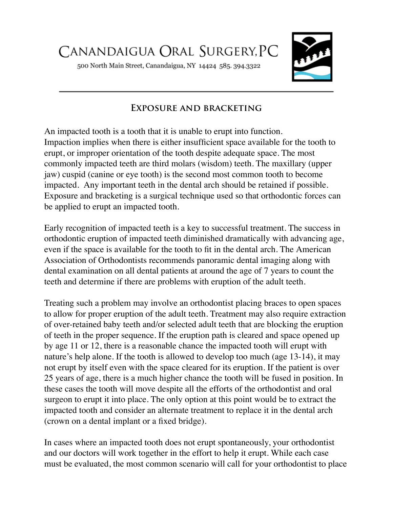500 North Main Street, Canandaigua, NY 14424 585. 394.3322



## **Exposure and bracketing**

An impacted tooth is a tooth that it is unable to erupt into function. Impaction implies when there is either insufficient space available for the tooth to erupt, or improper orientation of the tooth despite adequate space. The most commonly impacted teeth are third molars (wisdom) teeth. The maxillary (upper jaw) cuspid (canine or eye tooth) is the second most common tooth to become impacted. Any important teeth in the dental arch should be retained if possible. Exposure and bracketing is a surgical technique used so that orthodontic forces can be applied to erupt an impacted tooth.

Early recognition of impacted teeth is a key to successful treatment. The success in orthodontic eruption of impacted teeth diminished dramatically with advancing age, even if the space is available for the tooth to fit in the dental arch. The American Association of Orthodontists recommends panoramic dental imaging along with dental examination on all dental patients at around the age of 7 years to count the teeth and determine if there are problems with eruption of the adult teeth.

Treating such a problem may involve an orthodontist placing braces to open spaces to allow for proper eruption of the adult teeth. Treatment may also require extraction of over-retained baby teeth and/or selected adult teeth that are blocking the eruption of teeth in the proper sequence. If the eruption path is cleared and space opened up by age 11 or 12, there is a reasonable chance the impacted tooth will erupt with nature's help alone. If the tooth is allowed to develop too much (age 13-14), it may not erupt by itself even with the space cleared for its eruption. If the patient is over 25 years of age, there is a much higher chance the tooth will be fused in position. In these cases the tooth will move despite all the efforts of the orthodontist and oral surgeon to erupt it into place. The only option at this point would be to extract the impacted tooth and consider an alternate treatment to replace it in the dental arch (crown on a dental implant or a fixed bridge).

In cases where an impacted tooth does not erupt spontaneously, your orthodontist and our doctors will work together in the effort to help it erupt. While each case must be evaluated, the most common scenario will call for your orthodontist to place